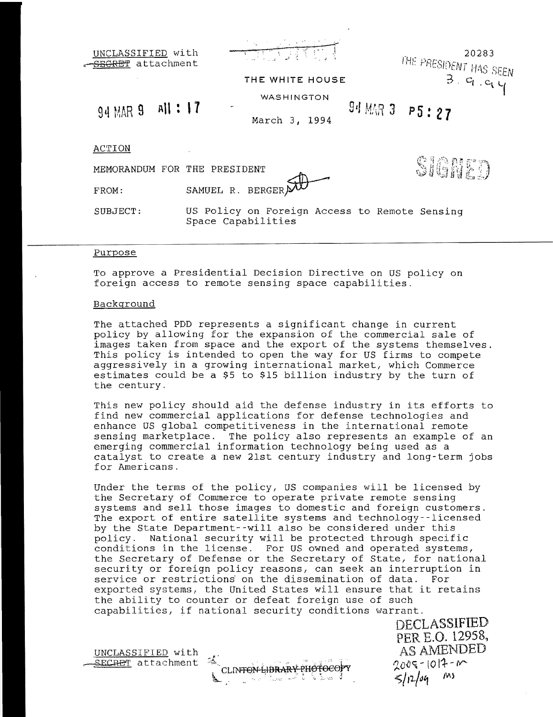| UNCLASSIFIED with<br>SEGRET attachment | 再手<br>THE WHITE HOUSE                                               | 20283<br>THE PRESIDENT HAS SEEN |
|----------------------------------------|---------------------------------------------------------------------|---------------------------------|
|                                        | WASHINGTON                                                          |                                 |
| All : 17<br>94 MAR 9                   | March 3, 1994                                                       | $94$ MAR 3 P5:27                |
| ACTION                                 |                                                                     |                                 |
| MEMORANDUM FOR THE PRESIDENT           |                                                                     | Signer                          |
| FROM:                                  | SAMUEL R. BERGER)                                                   |                                 |
| SUBJECT:                               | US Policy on Foreign Access to Remote Sensing<br>Space Capabilities |                                 |

## Purpose

To approve a Presidential Decision Directive on US policy on foreign access to remote sensing space capabilities.

## Background

The attached PDD represents a significant change in current policy by allowing for the expansion of the commercial sale of images taken from space and the export of the systems themselves. This policy is intended to open the way for US firms to compete aggressively in a growing international market, which Commerce estimates could be a \$5 to \$15 billion industry by the turn of the century.

This new policy should aid the defense industry in its efforts to find new commercial applications for defense technologies and enhance US global competitiveness in the international remote sensing marketplace. The policy also represents an example of an emerging commercial information technology being used as a catalyst to create a new 21st century industry and long-term jobs for Americans.

Under the terms of the policy, US companies will be licensed by the Secretary of Commerce to operate private remote sensing systems and sell those images to domestic and foreign customers. The export of entire satellite systems and technology--licensed by the State Department--will also be considered under this<br>policy. National security will be protected through specif National security will be protected through specific conditions in the license. For US owned and operated systems, the Secretary of Defense or the Secretary of State, for national security or foreign policy reasons, can seek an interruption in service or restrictions on the dissemination of data. For exported systems, the United States will ensure that it retains the ability to counter or defeat foreign use of such capabilities, if national security conditions warrant.

SECRET attachment & CLINTON-LIBRARY PHOTOCOPY 2009-1017-M  $\sum_{i=1}^n\sum_{j=1}^n\sum_{j=1}^n\sum_{j=1}^n\sum_{j=1}^n\sum_{j=1}^n\sum_{j=1}^n\sum_{j=1}^n\sum_{j=1}^n\sum_{j=1}^n\sum_{j=1}^n\sum_{j=1}^n\sum_{j=1}^n\sum_{j=1}^n\sum_{j=1}^n\sum_{j=1}^n\sum_{j=1}^n\sum_{j=1}^n\sum_{j=1}^n\sum_{j=1}^n\sum_{j=1}^n\sum_{j=1}^n\sum_{j=1}^n\sum_{j=1}^n\sum_{j$ 

DECLASSIFIED PER E.O. 12958, UNCLASSIFIED with AS AMENDED  $5/12/04$  Ms